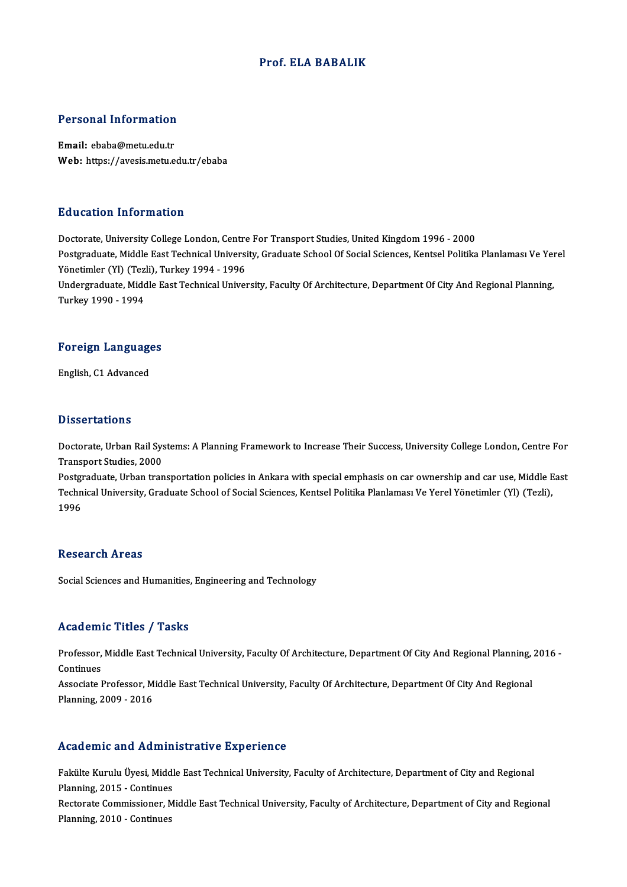### Prof. ELA BABALIK

# Personal Information

Personal Information<br>Email: ebaba@metu.edu.tr<br>Web: https://avesis.metu.e Email: ebaba@metu.edu.tr<br>Web: https://avesis.metu.edu.tr/ebaba

### Education Information

Doctorate, University College London, Centre For Transport Studies, United Kingdom 1996 - 2000 Postgraduate, Middle East Technical University, Graduate School Of Social Sciences, Kentsel Politika Planlaması Ve Yerel Doctorate, University College London, Centre<br>Postgraduate, Middle East Technical Universi<br>Yönetimler (Yl) (Tezli), Turkey 1994 - 1996<br>Undergraduate, Middle East Technical Univer Undergraduate, Middle East Technical University, Faculty Of Architecture, Department Of City And Regional Planning,<br>Turkey 1990 - 1994 Yönetimler (Yl) (Tez<br>Undergraduate, Midc<br>Turkey 1990 - 1994

# 1980 - 1994<br>Foreign Languages F<mark>oreign Languag</mark>e<br>English, C1 Advanced

English, C1 Advanced<br>Dissertations

Dissertations<br>Doctorate, Urban Rail Systems: A Planning Framework to Increase Their Success, University College London, Centre For<br>Transport Studies, 2000 *D* 1990er darrome<br>Doctorate, Urban Rail Sys<br>Transport Studies, 2000<br>Postsraduate, Urban tran Doctorate, Urban Rail Systems: A Planning Framework to Increase Their Success, University College London, Centre For<br>Transport Studies, 2000<br>Postgraduate, Urban transportation policies in Ankara with special emphasis on ca

Transport Studies, 2000<br>Postgraduate, Urban transportation policies in Ankara with special emphasis on car ownership and car use, Middle E<br>Technical University, Graduate School of Social Sciences, Kentsel Politika Planlama Postgi<br>Techn<br>1996 1996<br>Research Areas

Social Sciences and Humanities, Engineering and Technology

### Academic Titles / Tasks

Academic Titles / Tasks<br>Professor, Middle East Technical University, Faculty Of Architecture, Department Of City And Regional Planning, 2016 -<br>Continues Professor,<br>Continues<br>Associate L Professor, Middle East Technical University, Faculty Of Architecture, Department Of City And Regional Planning,<br>Continues<br>Associate Professor, Middle East Technical University, Faculty Of Architecture, Department Of City A

Continues<br>Associate Professor, M<br>Planning, 2009 - 2016

# Planning, 2009 - 2016<br>Academic and Administrative Experience

Academic and Administrative Experience<br>Fakülte Kurulu Üyesi, Middle East Technical University, Faculty of Architecture, Department of City and Regional<br>Planning 2015 - Continues Planning, and Trumm<br>Pakülte Kurulu Üyesi, Middl<br>Planning, 2015 - Continues<br>Pesterate Commissioner, M Fakülte Kurulu Üyesi, Middle East Technical University, Faculty of Architecture, Department of City and Regional<br>Planning, 2015 - Continues<br>Rectorate Commissioner, Middle East Technical University, Faculty of Architecture, Planning, 2015 - Continues<br>Rectorate Commissioner, Middle East Technical University, Faculty of Architecture, Department of City and Regional<br>Planning, 2010 - Continues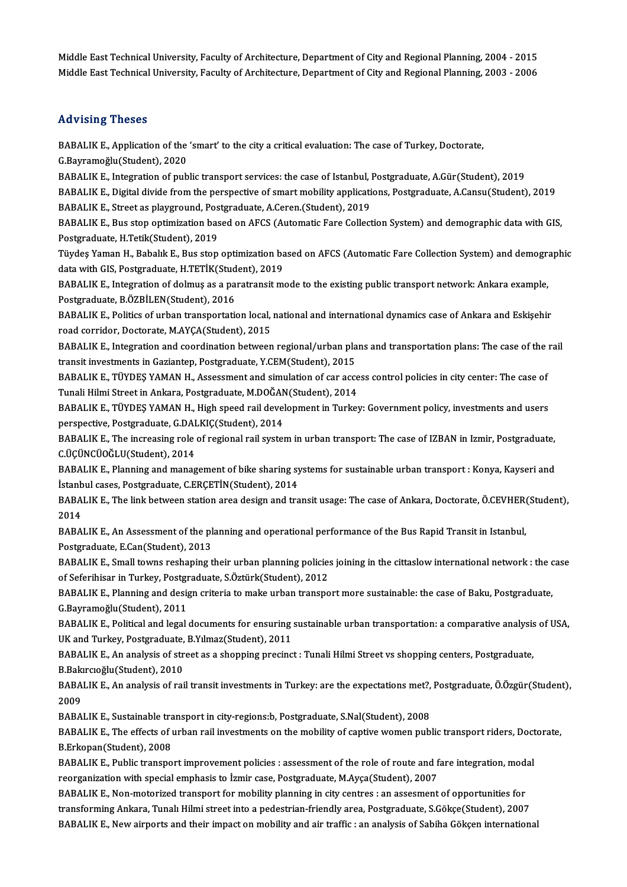Middle East Technical University, Faculty of Architecture, Department of City and Regional Planning, 2004 - 2015 Middle East Technical University, Faculty of Architecture, Department of City and Regional Planning, 2003 - 2006

### Advising Theses

Advising Theses<br>BABALIK E., Application of the 'smart' to the city a critical evaluation: The case of Turkey, Doctorate,<br>S. Bayramoğlu (Student), 2020 EABALIK E., Application of the<br>G.Bayramoğlu(Student), 2020<br>BABALIK E., Integration of pub BABALIK E., Application of the 'smart' to the city a critical evaluation: The case of Turkey, Doctorate,<br>G.Bayramoğlu(Student), 2020<br>BABALIK E., Integration of public transport services: the case of Istanbul, Postgraduate,

G.Bayramoğlu(Student), 2020<br>BABALIK E., Integration of public transport services: the case of Istanbul, Postgraduate, A.Gür(Student), 2019<br>BABALIK E., Digital divide from the perspective of smart mobility applications, Pos BABALIK E., Integration of public transport services: the case of Istanbul, J<br>BABALIK E., Digital divide from the perspective of smart mobility applicati<br>BABALIK E., Street as playground, Postgraduate, A.Ceren.(Student), 2 BABALIK E., Digital divide from the perspective of smart mobility applications, Postgraduate, A.Cansu(Student), 2019<br>BABALIK E., Street as playground, Postgraduate, A.Ceren.(Student), 2019<br>BABALIK E., Bus stop optimization

BABALIK E., Street as playground, Pos<br>BABALIK E., Bus stop optimization bas<br>Postgraduate, H.Tetik(Student), 2019<br>Tüydes Yaman H. Babalık E. Bus stan BABALIK E., Bus stop optimization based on AFCS (Automatic Fare Collection System) and demographic data with GIS,<br>Postgraduate, H.Tetik(Student), 2019<br>Tüydeş Yaman H., Babalık E., Bus stop optimization based on AFCS (Autom

Postgraduate, H.Tetik(Student), 2019<br>Tüydeş Yaman H., Babalık E., Bus stop optimization ba<br>data with GIS, Postgraduate, H.TETİK(Student), 2019<br>BABALIK E. Integration of dolmus as a paratransit m Tüydeş Yaman H., Babalık E., Bus stop optimization based on AFCS (Automatic Fare Collection System) and demogra<br>data with GIS, Postgraduate, H.TETİK(Student), 2019<br>BABALIK E., Integration of dolmuş as a paratransit mode to

data with GIS, Postgraduate, H.TETİK(Student), 2019<br>BABALIK E., Integration of dolmuş as a paratransit mode to the existing public transport network: Ankara example,<br>Postgraduate, B.ÖZBİLEN(Student), 2016 BABALIK E., Integration of dolmuş as a paratransit mode to the existing public transport network: Ankara example,<br>Postgraduate, B.ÖZBİLEN(Student), 2016<br>BABALIK E., Politics of urban transportation local, national and inte

Postgraduate, B.ÖZBİLEN(Student), 2016<br>BABALIK E., Politics of urban transportation local,<br>road corridor, Doctorate, M.AYÇA(Student), 2015<br>BABALIK E. Integration and soardination between BABALIK E., Politics of urban transportation local, national and international dynamics case of Ankara and Eskişehir<br>road corridor, Doctorate, M.AYÇA(Student), 2015<br>BABALIK E., Integration and coordination between regional

road corridor, Doctorate, M.AYÇA(Student), 2015<br>BABALIK E., Integration and coordination between regional/urban plans and transportation plans: The case of the rail<br>transit investments in Gaziantep, Postgraduate, Y.CEM(Stu BABALIK E., Integration and coordination between regional/urban plans and transportation plans: The case of the<br>transit investments in Gaziantep, Postgraduate, Y.CEM(Student), 2015<br>BABALIK E., TÜYDEŞ YAMAN H., Assessment a

transit investments in Gaziantep, Postgraduate, Y.CEM(Student), 2015<br>BABALIK E., TÜYDEŞ YAMAN H., Assessment and simulation of car acce<br>Tunali Hilmi Street in Ankara, Postgraduate, M.DOĞAN(Student), 2014<br>BABALIK E., TÜYDES BABALIK E., TÜYDEŞ YAMAN H., Assessment and simulation of car access control policies in city center: The case of<br>Tunali Hilmi Street in Ankara, Postgraduate, M.DOĞAN(Student), 2014<br>BABALIK E., TÜYDEŞ YAMAN H., High speed

Tunali Hilmi Street in Ankara, Postgraduate, M.DOĞAN<br>BABALIK E., TÜYDEŞ YAMAN H., High speed rail devel<br>perspective, Postgraduate, G.DALKIÇ(Student), 2014<br>BABALIK E...The increasing rele of regional reil system BABALIK E., TÜYDEŞ YAMAN H., High speed rail development in Turkey: Government policy, investments and users<br>perspective, Postgraduate, G.DALKIÇ(Student), 2014<br>BABALIK E., The increasing role of regional rail system in urb

perspective, Postgraduate, G.DALKIÇ(Student), 2014<br>BABALIK E., The increasing role of regional rail system in urban transport: The case of IZBAN in Izmir, Postgraduate,<br>C.ÜÇÜNCÜOĞLU(Student), 2014<br>BABALIK E., Planning and BABALIK E., The increasing role of regional rail system in urban transport: The case of IZBAN in Izmir, Postgraduate,

İstanbul cases, Postgraduate, C.ERÇETİN(Student), 2014 BABALIK E., Planning and management of bike sharing systems for sustainable urban transport : Konya, Kayseri and<br>İstanbul cases, Postgraduate, C.ERÇETİN(Student), 2014<br>BABALIK E., The link between station area design and t

İstanb<br>BABA<br>2014<br>BABA BABALIK E., The link between station area design and transit usage: The case of Ankara, Doctorate, Ö.CEVHER<br>2014<br>BABALIK E., An Assessment of the planning and operational performance of the Bus Rapid Transit in Istanbul,<br>P

2014<br>BABALIK E., An Assessment of the planning and operational performance of the Bus Rapid Transit in Istanbul,<br>Postgraduate, E.Can(Student), 2013 BABALIK E., An Assessment of the planning and operational performance of the Bus Rapid Transit in Istanbul,<br>Postgraduate, E.Can(Student), 2013<br>BABALIK E., Small towns reshaping their urban planning policies joining in the

Postgraduate, E.Can(Student), 2013<br>BABALIK E., Small towns reshaping their urban planning policie:<br>of Seferihisar in Turkey, Postgraduate, S.Öztürk(Student), 2012<br>BABALIK E. Planning and design suitaria ta maka urban trans BABALIK E., Small towns reshaping their urban planning policies joining in the cittaslow international network : the c<br>of Seferihisar in Turkey, Postgraduate, S.Öztürk(Student), 2012<br>BABALIK E., Planning and design criteri

of Seferihisar in Turkey, Postgraduate, S.Öztürk(Student), 2012<br>BABALIK E., Planning and design criteria to make urban transport more sustainable: the case of Baku, Postgraduate,<br>G.Bayramoğlu(Student), 2011 BABALIK E., Planning and design criteria to make urban transport more sustainable: the case of Baku, Postgraduate,<br>G.Bayramoğlu(Student), 2011<br>BABALIK E., Political and legal documents for ensuring sustainable urban transp

G.Bayramoğlu(Student), 2011<br>BABALIK E., Political and legal documents for ensuring<br>UK and Turkey, Postgraduate, B.Yılmaz(Student), 2011<br>BABALIK E. An analysis of street as a shanning presing BABALIK E., Political and legal documents for ensuring sustainable urban transportation: a comparative analysis<br>UK and Turkey, Postgraduate, B.Yılmaz(Student), 2011<br>BABALIK E., An analysis of street as a shopping precinct

UK and Turkey, Postgraduate,<br>BABALIK E., An analysis of str<br>B.Bakırcıoğlu(Student), 2010<br>BABALIK E. An analysis of rai BABALIK E., An analysis of street as a shopping precinct : Tunali Hilmi Street vs shopping centers, Postgraduate,<br>B.Bakırcıoğlu(Student), 2010<br>BABALIK E., An analysis of rail transit investments in Turkey: are the expectat

**B.Baki<br>BABA**<br>2009<br>BABA BABALIK E., An analysis of rail transit investments in Turkey: are the expectations met?,<br>2009<br>BABALIK E., Sustainable transport in city-regions:b, Postgraduate, S.Nal(Student), 2008<br>BABALIK E., Sustainable transport in ci

2009<br>BABALIK E., Sustainable transport in city-regions:b, Postgraduate, S.Nal(Student), 2008<br>BABALIK E., The effects of urban rail investments on the mobility of captive women public transport riders, Doctorate,<br>B.Frkopen( BABALIK E., Sustainable tra<br>BABALIK E., The effects of t<br>B.Erkopan(Student), 2008<br>BABALIK E. Bublic transpo BABALIK E., The effects of urban rail investments on the mobility of captive women public transport riders, Doct<br>B.Erkopan(Student), 2008<br>BABALIK E., Public transport improvement policies : assessment of the role of route

B.Erkopan(Student), 2008<br>BABALIK E., Public transport improvement policies : assessment of the role of route and f<br>reorganization with special emphasis to İzmir case, Postgraduate, M.Ayça(Student), 2007<br>BABALIK E. Non mate BABALIK E., Public transport improvement policies : assessment of the role of route and fare integration, mode<br>reorganization with special emphasis to İzmir case, Postgraduate, M.Ayça(Student), 2007<br>BABALIK E., Non-motoriz

reorganization with special emphasis to İzmir case, Postgraduate, M.Ayça(Student), 2007<br>BABALIK E., Non-motorized transport for mobility planning in city centres : an assesment of opportunities for<br>transforming Ankara, Tun BABALIK E., New airports and their impact on mobility and air traffic : an analysis of Sabiha Gökçen international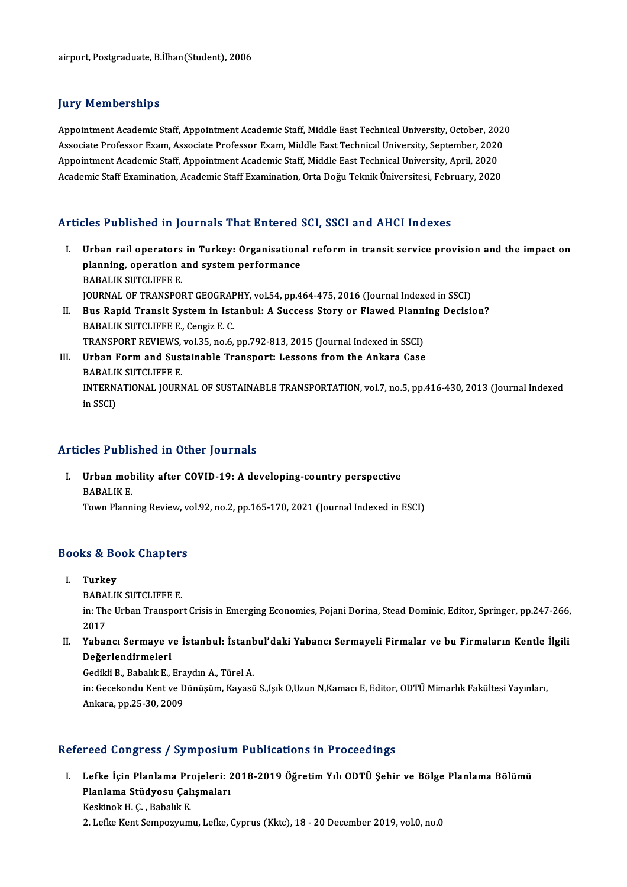### **Jury Memberships**

**Jury Memberships<br>Appointment Academic Staff, Appointment Academic Staff, Middle East Technical University, October, 2020<br>Assesiste Prefessor Fram, Assesiste Prefessor Fram, Middle East Technical University, September, 202** Appointment Academic Staff, Appointment Academic Staff, Middle East Technical University, October, 2020<br>Associate Professor Exam, Associate Professor Exam, Middle East Technical University, September, 2020<br>Annointment Acad Appointment Academic Staff, Appointment Academic Staff, Middle East Technical University, October, 201<br>Associate Professor Exam, Associate Professor Exam, Middle East Technical University, September, 2020<br>Appointment Acade Associate Professor Exam, Associate Professor Exam, Middle East Technical University, September, 2020<br>Appointment Academic Staff, Appointment Academic Staff, Middle East Technical University, April, 2020<br>Academic Staff Exa

### Articles Published in Journals That Entered SCI, SSCI and AHCI Indexes

- rticles Published in Journals That Entered SCI, SSCI and AHCI Indexes<br>I. Urban rail operators in Turkey: Organisational reform in transit service provision and the impact on<br>Repries operation and system performance planning, operators in Turkey: Organisation:<br>planning, operation and system performance Urban rail operators<br>planning, operation a<br>BABALIK SUTCLIFFE E.<br>JOUPMAL OF TRANSPOL planning, operation and system performance<br>BABALIK SUTCLIFFE E.<br>JOURNAL OF TRANSPORT GEOGRAPHY, vol.54, pp.464-475, 2016 (Journal Indexed in SSCI)<br>Pue Banid Transit System in Jetanbul: A Sussess Stew or Elevyed Blanning De BABALIK SUTCLIFFE E.<br>JOURNAL OF TRANSPORT GEOGRAPHY, vol.54, pp.464-475, 2016 (Journal Indexed in SSCI)<br>II. Bus Rapid Transit System in Istanbul: A Success Story or Flawed Planning Decision?<br>BABALIK SUTCLIFFE E., Cengiz E. **JOURNAL OF TRANSPORT GEOGRAF<br>Bus Rapid Transit System in Ist:<br>BABALIK SUTCLIFFE E., Cengiz E. C.<br>TRANSPORT BEVIEWS, vol 35, no 6.** Bus Rapid Transit System in Istanbul: A Success Story or Flawed Plann<br>BABALIK SUTCLIFFE E., Cengiz E. C.<br>TRANSPORT REVIEWS, vol.35, no.6, pp.792-813, 2015 (Journal Indexed in SSCI)<br>Urban Form and Sustainable Transport: Les
- BABALIK SUTCLIFFE E., Cengiz E. C.<br>TRANSPORT REVIEWS, vol.35, no.6, pp.792-813, 2015 (Journal Indexed in SSCI)<br>III. Urban Form and Sustainable Transport: Lessons from the Ankara Case<br>PARALIK SUTCLIEEE E TRANSPORT REVIEWS,<br>Urban Form and Sust<br>BABALIK SUTCLIFFE E.<br>INTERNATIONAL JOURN Urban Form and Sustainable Transport: Lessons from the Ankara Case<br>BABALIK SUTCLIFFE E.<br>INTERNATIONAL JOURNAL OF SUSTAINABLE TRANSPORTATION, vol.7, no.5, pp.416-430, 2013 (Journal Indexed<br>in SSCD. BABALII<br>INTERN.<br>in SSCI)

# Articles Published in Other Journals

rticles Published in Other Journals<br>I. Urban mobility after COVID-19: A developing-country perspective<br>RABALIKE Excess a more<br>Urban mot<br>BABALIK E.<br>Tour Plann Urban mobility after COVID-19: A developing-country perspective<br>BABALIK E.<br>Town Planning Review, vol.92, no.2, pp.165-170, 2021 (Journal Indexed in ESCI)

# 10wn Planning Review, ve<br>Books & Book Chapters OOKS & BC<br>I. Turkey<br>RAPALU

I. Turkey<br>BABALIK SUTCLIFFE E.

**Turkey**<br>BABALIK SUTCLIFFE E.<br>in: The Urban Transport Crisis in Emerging Economies, Pojani Dorina, Stead Dominic, Editor, Springer, pp.247-266,<br>2017 BABA<br>in: The<br>2017<br>Yabar I . The Urban Transport Crisis in Emerging Economies, Pojani Dorina, Stead Dominic, Editor, Springer, pp.247-266,<br>2017<br>II. Yabancı Sermaye ve İstanbul: İstanbul'daki Yabancı Sermayeli Firmalar ve bu Firmaların Kentle İlgil

2017<br>Yabancı Sermaye v<br>Değerlendirmeleri<br>Cediki B. Bebakk E Yabancı Sermaye ve İstanbul: İstant<br>Değerlendirmeleri<br>Gedikli B., Babalık E., Eraydın A., Türel A.<br>in: Cesekandu Kant ve Dönüsüm Kavasü

Değerlendirmeleri<br>Gedikli B., Babalık E., Eraydın A., Türel A.<br>in: Gecekondu Kent ve Dönüşüm, Kayasü S.,Işık O,Uzun N,Kamacı E, Editor, ODTÜ Mimarlık Fakültesi Yayınları,<br>Ankara, pp.25-30, 2009 Gedikli B., Babalık E., Era<br>in: Gecekondu Kent ve D<br>Ankara, pp.25-30, 2009

## Refereed Congress / Symposium Publications in Proceedings

efereed Congress / Symposium Publications in Proceedings<br>I. Lefke İçin Planlama Projeleri: 2018-2019 Öğretim Yılı ODTÜ Şehir ve Bölge Planlama Bölümü<br>Rlanlama Stüdvesy Calismaları Pou dongrossy by mpositik<br>Lefke İçin Planlama Projeleri: 2<br>Planlama Stüdyosu Çalışmaları Lefke İçin Planlama Pre<br>Planlama Stüdyosu Çal<br>Keskinok H. Ç. , Babalık E.<br>2. Lefke Kent Semnezuum Pl<mark>anlama Stüdyosu Çalışmaları</mark><br>Keskinok H. Ç. , Babalık E.<br>2. Lefke Kent Sempozyumu, Lefke, Cyprus (Kktc), 18 - 20 December 2019, vol.0, no.0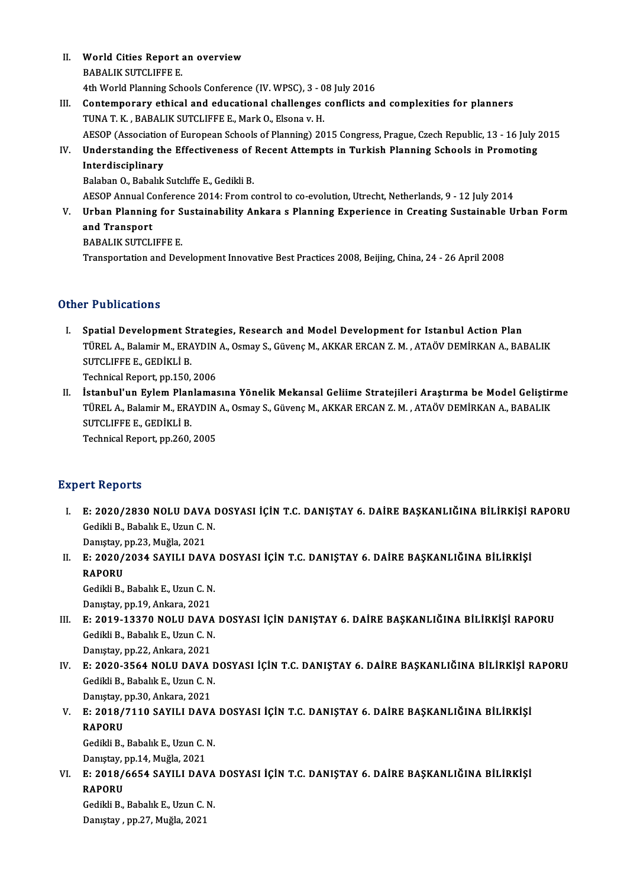II. World Cities Report an overview BABALIK SUTCLIFFE E. 4th World Planning Schools Conference (IV. WPSC), 3 - 08 July 2016

## BABALIK SUTCLIFFE E.<br>4th World Planning Schools Conference (IV. WPSC), 3 - 08 July 2016<br>III. Contemporary ethical and educational challenges conflicts and complexities for planners<br>TINA T. K., BABALIK SUTCLIFEE E. Mork O. 4th World Planning Schools Conference (IV. WPSC), 3 - 0<br>Contemporary ethical and educational challenges<br>TUNA T. K., BABALIK SUTCLIFFE E., Mark O., Elsona v. H.<br>AESOB (Accociation of European Schools of Planning) 20 TUNA T. K., BABALIK SUTCLIFFE E., Mark O., Elsona v. H.<br>AESOP (Association of European Schools of Planning) 2015 Congress, Prague, Czech Republic, 13 - 16 July 2015 TUNA T. K., BABALIK SUTCLIFFE E., Mark O., Elsona v. H.<br>AESOP (Association of European Schools of Planning) 2015 Congress, Prague, Czech Republic, 13 - 16 July 2<br>IV. Understanding the Effectiveness of Recent Attempts in Tu

# AESOP (Association<br>Understanding th<br>Interdisciplinary<br>Palaban O. Pabalık Understanding the Effectiveness of<br>Interdisciplinary<br>Balaban O., Babalık Sutcliffe E., Gedikli B.<br>AESOB Annual Conference 2014: Erom c I<mark>nterdisciplinary</mark><br>Balaban O., Babalık Sutcliffe E., Gedikli B.<br>AESOP Annual Conference 2014: From control to co-evolution, Utrecht, Netherlands, 9 - 12 July 2014<br>Urban Blanning for Sustainability Ankara s Blanning Experi

Balaban O., Babalık Sutcliffe E., Gedikli B.<br>AESOP Annual Conference 2014: From control to co-evolution, Utrecht, Netherlands, 9 - 12 July 2014<br>V. Urban Planning for Sustainability Ankara s Planning Experience in Creati **AESOP Annual Condit**<br>Urban Planning<br>and Transport<br>PAPALIK SUTCLI Urban Planning for S<br>and Transport<br>BABALIK SUTCLIFFE E.<br>Transportation and Doy

and Transport<br>BABALIK SUTCLIFFE E.<br>Transportation and Development Innovative Best Practices 2008, Beijing, China, 24 - 26 April 2008

## Other Publications

I. Spatial Development Strategies, Research and Model Development for Istanbul Action Plan TT a Brications<br>Spatial Development Strategies, Research and Model Development for Istanbul Action Plan<br>TÜREL A., Balamir M., ERAYDIN A., Osmay S., Güvenç M., AKKAR ERCAN Z. M. , ATAÖV DEMİRKAN A., BABALIK<br>SUTCLIEEE E. CED Spatial Development St<br>TÜREL A., Balamir M., ERA<br>SUTCLIFFE E., GEDİKLİ B.<br>Technical Benert nn 150 TÜREL A., Balamir M., ERAYDIN<br>SUTCLIFFE E., GEDİKLİ B.<br>Technical Report, pp.150, 2006<br>İstanbul'un Evlem Blanlamas SUTCLIFFE E., GEDİKLİ B.<br>Technical Report, pp.150, 2006<br>II. İstanbul'un Eylem Planlamasına Yönelik Mekansal Geliime Stratejileri Araştırma be Model Geliştirme

Technical Report, pp.150, 2006<br>İstanbul'un Eylem Planlamasına Yönelik Mekansal Geliime Stratejileri Araştırma be Model Geliştir<br>TÜREL A., Balamir M., ERAYDIN A., Osmay S., Güvenç M., AKKAR ERCAN Z. M. , ATAÖV DEMİRKAN A., İstanbul'un Eylem Plan<br>TÜREL A., Balamir M., ERA<br>SUTCLIFFE E., GEDİKLİ B.<br>Technisel Benert, nn 260 TÜREL A., Balamir M., ERAYDIN<br>SUTCLIFFE E., GEDİKLİ B.<br>Technical Report, pp.260, 2005 Technical Report, pp.260, 2005<br>Expert Reports

- Xpert Reports<br>I. E: 2020/2830 NOLU DAVA DOSYASI İÇİN T.C. DANIŞTAY 6. DAİRE BAŞKANLIĞINA BİLİRKİŞİ RAPORU<br>. Gediri B. Pehalik E. Usun G. N E: 2020/2830 NOLU DAVA I<br>Gedikli B., Babalık E., Uzun C. N.<br>Danıstav, nn 22. Mužla 2021 E: 2020/2830 NOLU DAVA<br>Gedikli B., Babalık E., Uzun C. I<br>Danıştay, pp.23, Muğla, 2021<br>E. 2020/2024 SAYU L DAV Gedikli B., Babalık E., Uzun C. N.<br>Danıştay, pp.23, Muğla, 2021<br>II. E: 2020/2034 SAYILI DAVA DOSYASI İÇİN T.C. DANIŞTAY 6. DAİRE BAŞKANLIĞINA BİLİRKİŞİ<br>RAROPU
- Daniştay, <mark>I</mark><br>E: 2020/<br>RAPORU<br>Cedikli P E: 2020/2034 SAYILI DAVA<br>RAPORU<br>Gedikli B., Babalık E., Uzun C. N.<br>Danıstav.nn 19. Ankara. 2021

RAPORU<br>Gedikli B., Babalık E., Uzun C. N.<br>Danıştay, pp.19, Ankara, 2021

- III. E: 2019-13370 NOLU DAVA DOSYASI İÇİN DANIŞTAY 6. DAİRE BAŞKANLIĞINA BİLİRKİŞİ RAPORU Danıştay, pp.19, Ankara, 2021<br>E: 2019-13370 NOLU DAVA<br>Gedikli B., Babalık E., Uzun C. N.<br>Danıstay, pp.22, Ankara, 2021 E: 2019-13370 NOLU DAVA<br>Gedikli B., Babalık E., Uzun C. N<br>Danıştay, pp.22, Ankara, 2021<br>E. 2020 2564 NOLU DAVA
- Gedikli B., Babalık E., Uzun C. N.<br>Danıştay, pp.22, Ankara, 2021<br>IV. E: 2020-3564 NOLU DAVA DOSYASI İÇİN T.C. DANIŞTAY 6. DAİRE BAŞKANLIĞINA BİLİRKİŞİ RAPORU<br>Cedikli B. Babalık E. Uzun C. N Danıştay, pp.22, Ankara, 2021<br>E: 2020-3564 NOLU DAVA D<br>Gedikli B., Babalık E., Uzun C. N. E: 2020-3564 NOLU DAVA<br>Gedikli B., Babalık E., Uzun C. N<br>Danıştay, pp.30, Ankara, 2021<br>E. 2019/7110 SAVILL DAVA Danıştay, pp 30, Ankara, 2021

# V. E: 2018/7110 SAYILI DAVA DOSYASI İÇİN T.C. DANIŞTAY 6. DAİRE BAŞKANLIĞINA BİLİRKİŞİ E: 2018/7110 SAYILI DAVA<br>RAPORU<br>Gedikli B., Babalık E., Uzun C. N.<br>Danıstav.nn 14. Mužla 2021

RAPORU<br>Gedikli B., Babalık E., Uzun C. I<br>Danıştay, pp.14, Muğla, 2021<br>E. 2018/6654 SAYU L DAV

Gedikli B., Babalık E., Uzun C. N.<br>Danıştay, pp.14, Muğla, 2021<br>VI. E: 2018/6654 SAYILI DAVA DOSYASI İÇİN T.C. DANIŞTAY 6. DAİRE BAŞKANLIĞINA BİLİRKİŞİ<br>RAROPU Danıştay, pp.14, Muğla, 2021<br>E: 2018/6654 SAYILI DAV<br>RAPORU E: 2018/6654 SAYILI DAVA<br>RAPORU<br>Gedikli B., Babalık E., Uzun C. N.<br>Danıstav, p.p. 27. Muğla, 2021

Gedikli B., Babalık E., Uzun C. N.<br>Danıştay , pp.27, Muğla, 2021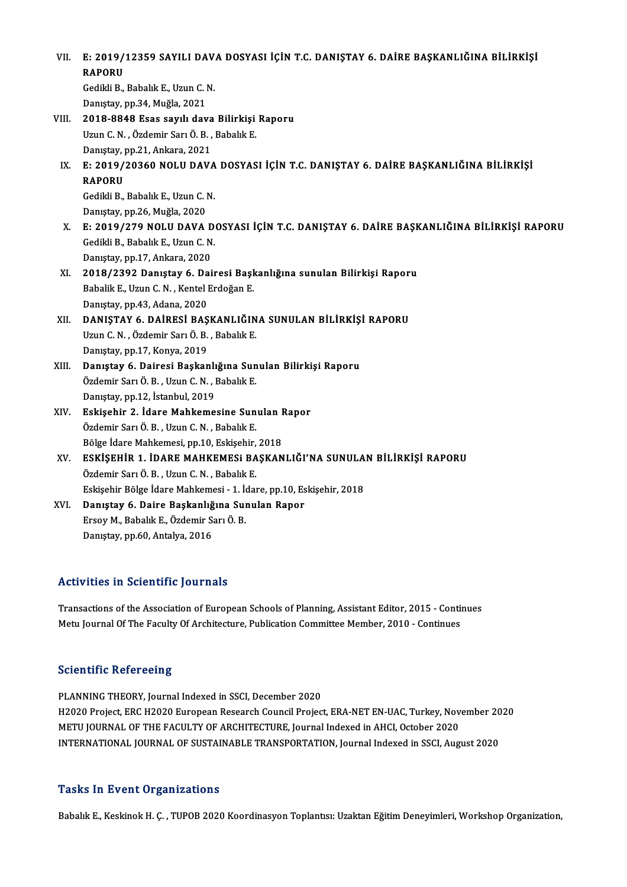VII. — E: 2019/12359 SAYILI DAVA DOSYASI İÇİN T.C. DANIŞTAY 6. DAİRE BAŞKANLIĞINA BİLİRKİŞİ<br>RAPOPU E: 2019/<br>RAPORU<br>Cedibli P E: 2019/12359 SAYILI DAV.<br>RAPORU<br>Gedikli B., Babalık E., Uzun C. N.<br>Danıstav, np.34. Mužla. 3031. RAPORU<br>Gedikli B., Babalık E., Uzun C. N.<br>Danıştay, pp.34, Muğla, 2021 Gedikli B., Babalık E., Uzun C. N.<br>Danıştay, pp.34, Muğla, 2021<br>VIII. 2018-8848 Esas sayılı dava Bilirkişi Raporu<br>Uzun C. N., Özdemir Sarı Ö. B., Babalık E.

- Danıştay, pp.34, Muğla, 2021<br>2018-8848 Esas sayılı dava Bilirkişi<br>Uzun C. N. , Özdemir Sarı Ö. B. , Babalık E.<br>Danıstay pp.21, Ankara, 2021 2018-8848 Esas sayılı dava<br>Uzun C. N. , Özdemir Sarı Ö. B. ,<br>Danıştay, pp.21, Ankara, 2021<br>E. 2019/20260 NOLU DAV
- Uzun C. N. , Özdemir Sarı Ö. B. , Babalık E.<br>Danıştay, pp.21, Ankara, 2021<br>IX. E: 2019/20360 NOLU DAVA DOSYASI İÇİN T.C. DANIŞTAY 6. DAİRE BAŞKANLIĞINA BİLİRKİŞİ<br>RAROPU Daniştay, <mark>I</mark><br>E: 2019/<br>RAPORU<br>Cedikli P E: 2019/20360 NOLU DAVA<br>RAPORU<br>Gedikli B., Babalık E., Uzun C. N.<br>Danıstav, nn 26 Muğla 2020 RAPORU<br>Gedikli B., Babalık E., Uzun C. N.<br>Danıştay, pp.26, Muğla, 2020
- Gedikli B., Babalık E., Uzun C. N.<br>Danıştay, pp.26, Muğla, 2020<br>X. E: 2019/279 NOLU DAVA DOSYASI İÇİN T.C. DANIŞTAY 6. DAİRE BAŞKANLIĞINA BİLİRKİŞİ RAPORU<br>Cedildi B. Babalık E. Huun C. N Danıştay, pp.26, Muğla, 2020<br>E: 2019/279 NOLU DAVA De<br>Gedikli B., Babalık E., Uzun C. N.<br>Danıstay, pp.17, Apliana, 2020 Gedikli B., Babalık E., Uzun C. N.<br>Danıştay, pp.17, Ankara, 2020 Gedikli B., Babalık E., Uzun C. N.<br>Danıştay, pp.17, Ankara, 2020<br>XI. 2018/2392 Danıştay 6. Dairesi Başkanlığına sunulan Bilirkişi Raporu<br>Rabalik E. Havn C. N., Kantal Endoğan E.
- Danıştay, pp.17, Ankara, 2020<br>**2018/2392 Danıştay 6. Dairesi Başl**<br>Babalik E., Uzun C. N. , Kentel Erdoğan E.<br>Penystay nn 43. Adana 2020 2018/2392 Danıştay 6. Da<br>Babalik E., Uzun C. N. , Kentel I<br>Danıştay, pp.43, Adana, 2020<br>DANISTAY 6. DAİBESİ BAS Babalik E., Uzun C. N. , Kentel Erdoğan E.<br>Danıştay, pp.43, Adana, 2020<br>XII. DANIŞTAY 6. DAİRESİ BAŞKANLIĞINA SUNULAN BİLİRKİŞİ RAPORU<br>Uzun G. N. Özdemir Sarı Ö. B. Babalık E.
- Danıştay, pp.43, Adana, 2020<br>DANIŞTAY 6. DAİRESİ BAŞKANLIĞIN<br>Uzun C. N. , Özdemir Sarı Ö. B. , Babalık E.<br>Danıstay nn 17. Kanua 2010 Uzun C. N., Özdemir Sarı Ö. B., Babalık E.<br>Danıştay, pp.17, Konya, 2019 Uzun C. N. , Özdemir Sarı Ö. B. , Babalık E.<br>Danıştay, pp.17, Konya, 2019<br>XIII. Danıştay 6. Dairesi Başkanlığına Sunulan Bilirkişi Raporu<br>Özdemir Sarı Ö. B. Haun C. N. Babalık E.
- Danıştay, pp.17, Konya, 2019<br><mark>Danıştay 6. Dairesi Başkanlığına Sun</mark><br>Özdemir Sarı Ö. B. , Uzun C. N. , Babalık E.<br>Danıstay nn 12. İstanbul, 2019 Danıştay 6. Dairesi Başkanlı<br>Özdemir Sarı Ö. B. , Uzun C. N. , I<br>Danıştay, pp.12, İstanbul, 2019<br>Fekisebir 2, İdare Mahkeme Özdemir Sarı Ö. B., Uzun C. N., Babalık E.<br>Danıştay, pp.12, İstanbul, 2019<br>XIV. Eskişehir 2. İdare Mahkemesine Sunulan Rapor<br>Özdemir Sarı Ö. B., Uzun C. N., Babalık E.
- Danıştay, pp.12, İstanbul, 2019<br>**Eskişehir 2. İdare Mahkemesine Sun**<br>Özdemir Sarı Ö. B. , Uzun C. N. , Babalık E.<br>Pölge İdare Mahkemesi nn 10. Eskişehir Eskişehir 2. İdare Mahkemesine Sunulan I<br>Özdemir Sarı Ö. B., Uzun C. N., Babalık E.<br>Bölge İdare Mahkemesi, pp.10, Eskişehir, 2018<br>ESKİSEHİR 1. İDARE MAHKEMESI RASKAN Bölge İdare Mahkemesi, pp.10, Eskişehir, 2018
- Özdemir Sarı Ö. B., Uzun C. N., Babalık E.<br>Bölge İdare Mahkemesi, pp.10, Eskişehir, 2018<br>XV. ESKİŞEHİR 1. İDARE MAHKEMESI BAŞKANLIĞI'NA SUNULAN BİLİRKİŞİ RAPORU<br>Özdemir Sarı Ö. B., Uzun C. N., Babalık E. ESKİŞEHİR 1. İDARE MAHKEMESi BAŞKANLIĞI'NA SUNULA<br>Özdemir Sarı Ö. B., Uzun C. N., Babalık E.<br>Eskişehir Bölge İdare Mahkemesi - 1. İdare, pp.10, Eskişehir, 2018<br>Danıstav 6. Daire Baskanlığına Sunulan Baner.
- XVI. Danıştay 6. Daire Başkanlığına Sunulan Rapor Eskişehir Bölge İdare Mahkemesi - 1. İd<br>Danıştay 6. Daire Başkanlığına Sur<br>Ersoy M., Babalık E., Özdemir Sarı Ö. B.<br>Danıstay pr. 60. Antalya 2016 Danıştay, pp.60, Antalya, 2016

## Activities in Scientific Journals

Transactions of the Association of European Schools of Planning, Assistant Editor, 2015 - Continues Metu Journal Of The Faculty Of Architecture, Publication Committee Member, 2010 - Continues

## **Scientific Refereeing**

PLANNING THEORY, Journal Indexed in SSCI, December 2020 BEICHTHITE ITCICI COMB<br>PLANNING THEORY, Journal Indexed in SSCI, December 2020<br>H2020 Project, ERC H2020 European Research Council Project, ERA-NET EN-UAC, Turkey, November 2020<br>METU JOURNAL OF THE EACULTY OF ARCHITECTURE J PLANNING THEORY, Journal Indexed in SSCI, December 2020<br>H2020 Project, ERC H2020 European Research Council Project, ERA-NET EN-UAC, Turkey, Nov<br>METU JOURNAL OF THE FACULTY OF ARCHITECTURE, Journal Indexed in AHCI, October METU JOURNAL OF THE FACULTY OF ARCHITECTURE, Journal Indexed in AHCI, October 2020<br>INTERNATIONAL JOURNAL OF SUSTAINABLE TRANSPORTATION, Journal Indexed in SSCI, August 2020

### **Tasks In Event Organizations**

Babalık E., Keskinok H. C. , TUPOB 2020 Koordinasyon Toplantısı: Uzaktan Eğitim Deneyimleri, Workshop Organization,